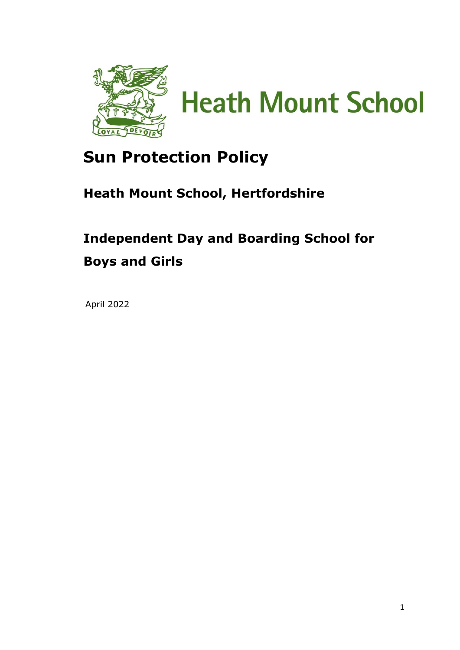

**Heath Mount School** 

# **Sun Protection Policy**

### **Heath Mount School, Hertfordshire**

## **Independent Day and Boarding School for Boys and Girls**

April 2022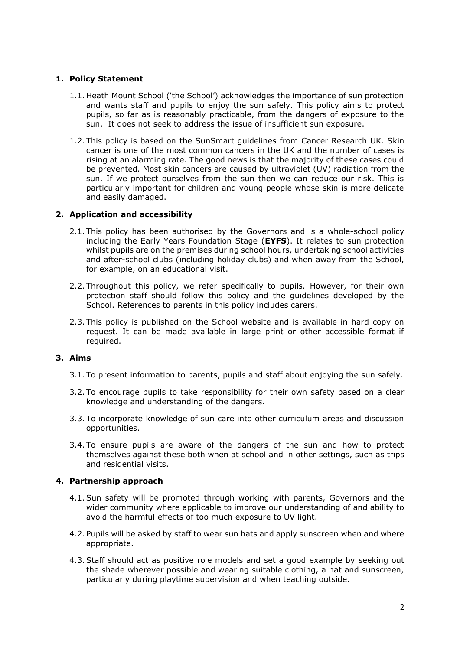#### **1. Policy Statement**

- 1.1. Heath Mount School ('the School') acknowledges the importance of sun protection and wants staff and pupils to enjoy the sun safely. This policy aims to protect pupils, so far as is reasonably practicable, from the dangers of exposure to the sun. It does not seek to address the issue of insufficient sun exposure.
- 1.2. This policy is based on the SunSmart guidelines from Cancer Research UK. Skin cancer is one of the most common cancers in the UK and the number of cases is rising at an alarming rate. The good news is that the majority of these cases could be prevented. Most skin cancers are caused by ultraviolet (UV) radiation from the sun. If we protect ourselves from the sun then we can reduce our risk. This is particularly important for children and young people whose skin is more delicate and easily damaged.

#### **2. Application and accessibility**

- 2.1. This policy has been authorised by the Governors and is a whole-school policy including the Early Years Foundation Stage (**EYFS**). It relates to sun protection whilst pupils are on the premises during school hours, undertaking school activities and after-school clubs (including holiday clubs) and when away from the School, for example, on an educational visit.
- 2.2. Throughout this policy, we refer specifically to pupils. However, for their own protection staff should follow this policy and the guidelines developed by the School. References to parents in this policy includes carers.
- 2.3. This policy is published on the School website and is available in hard copy on request. It can be made available in large print or other accessible format if required.

#### **3. Aims**

- 3.1. To present information to parents, pupils and staff about enjoying the sun safely.
- 3.2. To encourage pupils to take responsibility for their own safety based on a clear knowledge and understanding of the dangers.
- 3.3. To incorporate knowledge of sun care into other curriculum areas and discussion opportunities.
- 3.4. To ensure pupils are aware of the dangers of the sun and how to protect themselves against these both when at school and in other settings, such as trips and residential visits.

#### **4. Partnership approach**

- 4.1.Sun safety will be promoted through working with parents, Governors and the wider community where applicable to improve our understanding of and ability to avoid the harmful effects of too much exposure to UV light.
- 4.2. Pupils will be asked by staff to wear sun hats and apply sunscreen when and where appropriate.
- 4.3.Staff should act as positive role models and set a good example by seeking out the shade wherever possible and wearing suitable clothing, a hat and sunscreen, particularly during playtime supervision and when teaching outside.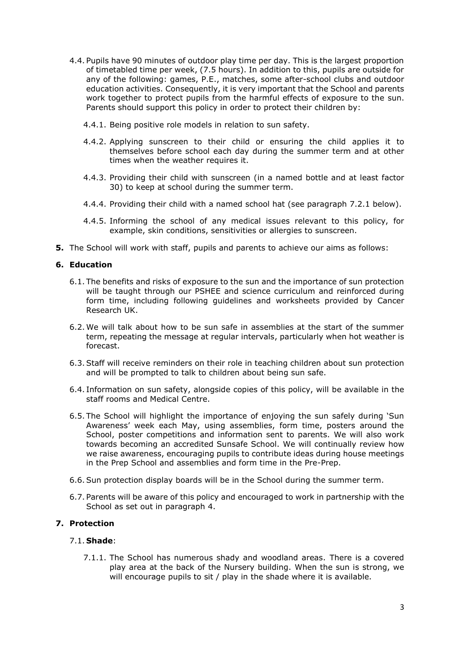- 4.4. Pupils have 90 minutes of outdoor play time per day. This is the largest proportion of timetabled time per week, (7.5 hours). In addition to this, pupils are outside for any of the following: games, P.E., matches, some after-school clubs and outdoor education activities. Consequently, it is very important that the School and parents work together to protect pupils from the harmful effects of exposure to the sun. Parents should support this policy in order to protect their children by:
	- 4.4.1. Being positive role models in relation to sun safety.
	- 4.4.2. Applying sunscreen to their child or ensuring the child applies it to themselves before school each day during the summer term and at other times when the weather requires it.
	- 4.4.3. Providing their child with sunscreen (in a named bottle and at least factor 30) to keep at school during the summer term.
	- 4.4.4. Providing their child with a named school hat (see paragraph 7.2.1 below).
	- 4.4.5. Informing the school of any medical issues relevant to this policy, for example, skin conditions, sensitivities or allergies to sunscreen.
- **5.** The School will work with staff, pupils and parents to achieve our aims as follows:

#### **6. Education**

- 6.1. The benefits and risks of exposure to the sun and the importance of sun protection will be taught through our PSHEE and science curriculum and reinforced during form time, including following guidelines and worksheets provided by Cancer Research UK.
- 6.2. We will talk about how to be sun safe in assemblies at the start of the summer term, repeating the message at regular intervals, particularly when hot weather is forecast.
- 6.3.Staff will receive reminders on their role in teaching children about sun protection and will be prompted to talk to children about being sun safe.
- 6.4. Information on sun safety, alongside copies of this policy, will be available in the staff rooms and Medical Centre.
- 6.5. The School will highlight the importance of enjoying the sun safely during 'Sun Awareness' week each May, using assemblies, form time, posters around the School, poster competitions and information sent to parents. We will also work towards becoming an accredited Sunsafe School. We will continually review how we raise awareness, encouraging pupils to contribute ideas during house meetings in the Prep School and assemblies and form time in the Pre-Prep.
- 6.6.Sun protection display boards will be in the School during the summer term.
- 6.7. Parents will be aware of this policy and encouraged to work in partnership with the School as set out in paragraph 4.

#### **7. Protection**

#### 7.1. **Shade**:

7.1.1. The School has numerous shady and woodland areas. There is a covered play area at the back of the Nursery building. When the sun is strong, we will encourage pupils to sit / play in the shade where it is available.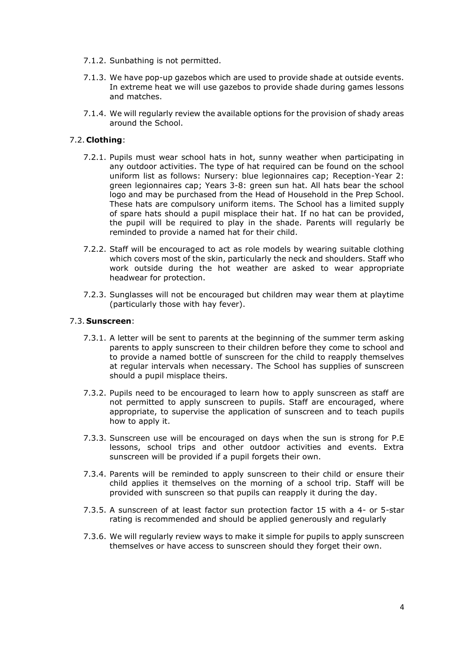- 7.1.2. Sunbathing is not permitted.
- 7.1.3. We have pop-up gazebos which are used to provide shade at outside events. In extreme heat we will use gazebos to provide shade during games lessons and matches.
- 7.1.4. We will regularly review the available options for the provision of shady areas around the School.

#### 7.2. **Clothing**:

- 7.2.1. Pupils must wear school hats in hot, sunny weather when participating in any outdoor activities. The type of hat required can be found on the school uniform list as follows: Nursery: blue legionnaires cap; Reception-Year 2: green legionnaires cap; Years 3-8: green sun hat. All hats bear the school logo and may be purchased from the Head of Household in the Prep School. These hats are compulsory uniform items. The School has a limited supply of spare hats should a pupil misplace their hat. If no hat can be provided, the pupil will be required to play in the shade. Parents will regularly be reminded to provide a named hat for their child.
- 7.2.2. Staff will be encouraged to act as role models by wearing suitable clothing which covers most of the skin, particularly the neck and shoulders. Staff who work outside during the hot weather are asked to wear appropriate headwear for protection.
- 7.2.3. Sunglasses will not be encouraged but children may wear them at playtime (particularly those with hay fever).

#### 7.3. **Sunscreen**:

- 7.3.1. A letter will be sent to parents at the beginning of the summer term asking parents to apply sunscreen to their children before they come to school and to provide a named bottle of sunscreen for the child to reapply themselves at regular intervals when necessary. The School has supplies of sunscreen should a pupil misplace theirs.
- 7.3.2. Pupils need to be encouraged to learn how to apply sunscreen as staff are not permitted to apply sunscreen to pupils. Staff are encouraged, where appropriate, to supervise the application of sunscreen and to teach pupils how to apply it.
- 7.3.3. Sunscreen use will be encouraged on days when the sun is strong for P.E lessons, school trips and other outdoor activities and events. Extra sunscreen will be provided if a pupil forgets their own.
- 7.3.4. Parents will be reminded to apply sunscreen to their child or ensure their child applies it themselves on the morning of a school trip. Staff will be provided with sunscreen so that pupils can reapply it during the day.
- 7.3.5. A sunscreen of at least factor sun protection factor 15 with a 4- or 5-star rating is recommended and should be applied generously and regularly
- 7.3.6. We will regularly review ways to make it simple for pupils to apply sunscreen themselves or have access to sunscreen should they forget their own.